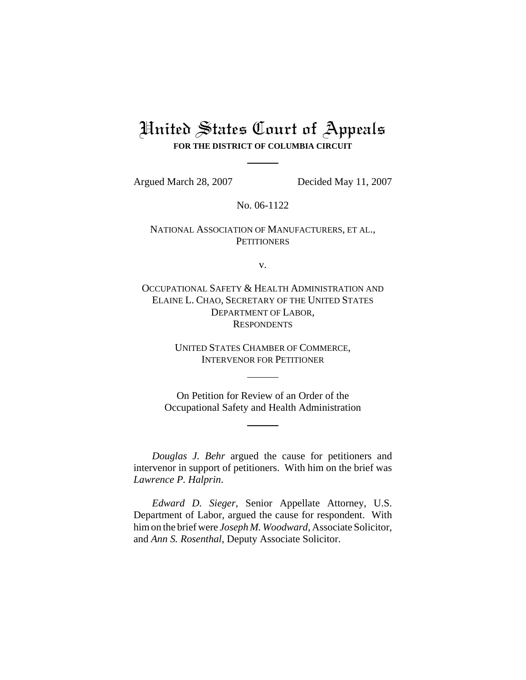## United States Court of Appeals **FOR THE DISTRICT OF COLUMBIA CIRCUIT**

Argued March 28, 2007 Decided May 11, 2007

No. 06-1122

## NATIONAL ASSOCIATION OF MANUFACTURERS, ET AL., **PETITIONERS**

v.

OCCUPATIONAL SAFETY & HEALTH ADMINISTRATION AND ELAINE L. CHAO, SECRETARY OF THE UNITED STATES DEPARTMENT OF LABOR, **RESPONDENTS** 

> UNITED STATES CHAMBER OF COMMERCE, INTERVENOR FOR PETITIONER

On Petition for Review of an Order of the Occupational Safety and Health Administration

*Douglas J. Behr* argued the cause for petitioners and intervenor in support of petitioners. With him on the brief was *Lawrence P. Halprin*.

*Edward D. Sieger*, Senior Appellate Attorney, U.S. Department of Labor, argued the cause for respondent. With him on the brief were *Joseph M. Woodward*, Associate Solicitor, and *Ann S. Rosenthal*, Deputy Associate Solicitor.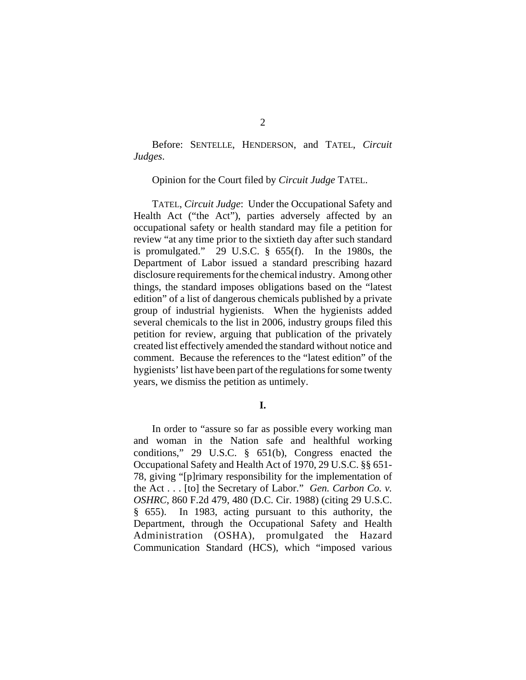Before: SENTELLE, HENDERSON, and TATEL, *Circuit Judges*.

Opinion for the Court filed by *Circuit Judge* TATEL.

TATEL, *Circuit Judge*: Under the Occupational Safety and Health Act ("the Act"), parties adversely affected by an occupational safety or health standard may file a petition for review "at any time prior to the sixtieth day after such standard is promulgated." 29 U.S.C. § 655(f). In the 1980s, the Department of Labor issued a standard prescribing hazard disclosure requirements for the chemical industry. Among other things, the standard imposes obligations based on the "latest edition" of a list of dangerous chemicals published by a private group of industrial hygienists. When the hygienists added several chemicals to the list in 2006, industry groups filed this petition for review, arguing that publication of the privately created list effectively amended the standard without notice and comment. Because the references to the "latest edition" of the hygienists' list have been part of the regulations for some twenty years, we dismiss the petition as untimely.

**I.**

In order to "assure so far as possible every working man and woman in the Nation safe and healthful working conditions," 29 U.S.C. § 651(b), Congress enacted the Occupational Safety and Health Act of 1970, 29 U.S.C. §§ 651- 78, giving "[p]rimary responsibility for the implementation of the Act . . . [to] the Secretary of Labor." *Gen. Carbon Co. v. OSHRC*, 860 F.2d 479, 480 (D.C. Cir. 1988) (citing 29 U.S.C. § 655). In 1983, acting pursuant to this authority, the Department, through the Occupational Safety and Health Administration (OSHA), promulgated the Hazard Communication Standard (HCS), which "imposed various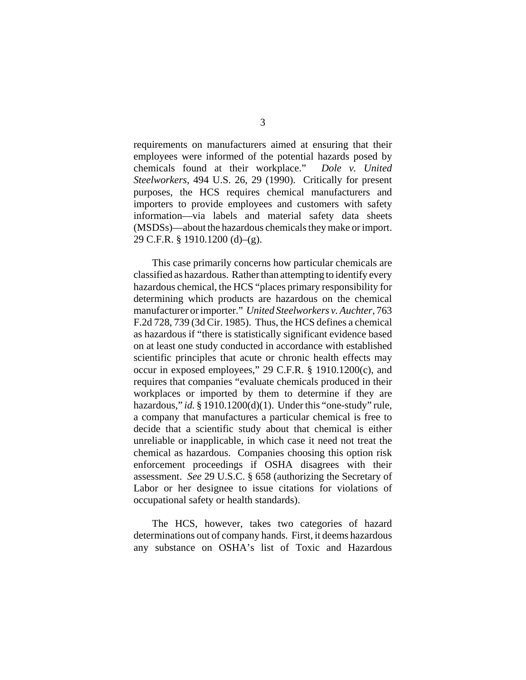requirements on manufacturers aimed at ensuring that their employees were informed of the potential hazards posed by chemicals found at their workplace." *Dole v. United Steelworkers*, 494 U.S. 26, 29 (1990). Critically for present purposes, the HCS requires chemical manufacturers and importers to provide employees and customers with safety information—via labels and material safety data sheets (MSDSs)—about the hazardous chemicals they make or import. 29 C.F.R. § 1910.1200 (d)–(g).

This case primarily concerns how particular chemicals are classified as hazardous. Rather than attempting to identify every hazardous chemical, the HCS "places primary responsibility for determining which products are hazardous on the chemical manufacturer or importer." *United Steelworkers v. Auchter*, 763 F.2d 728, 739 (3d Cir. 1985). Thus, the HCS defines a chemical as hazardous if "there is statistically significant evidence based on at least one study conducted in accordance with established scientific principles that acute or chronic health effects may occur in exposed employees," 29 C.F.R. § 1910.1200(c), and requires that companies "evaluate chemicals produced in their workplaces or imported by them to determine if they are hazardous," *id.* § 1910.1200(d)(1). Under this "one-study" rule, a company that manufactures a particular chemical is free to decide that a scientific study about that chemical is either unreliable or inapplicable, in which case it need not treat the chemical as hazardous. Companies choosing this option risk enforcement proceedings if OSHA disagrees with their assessment. *See* 29 U.S.C. § 658 (authorizing the Secretary of Labor or her designee to issue citations for violations of occupational safety or health standards).

The HCS, however, takes two categories of hazard determinations out of company hands. First, it deems hazardous any substance on OSHA's list of Toxic and Hazardous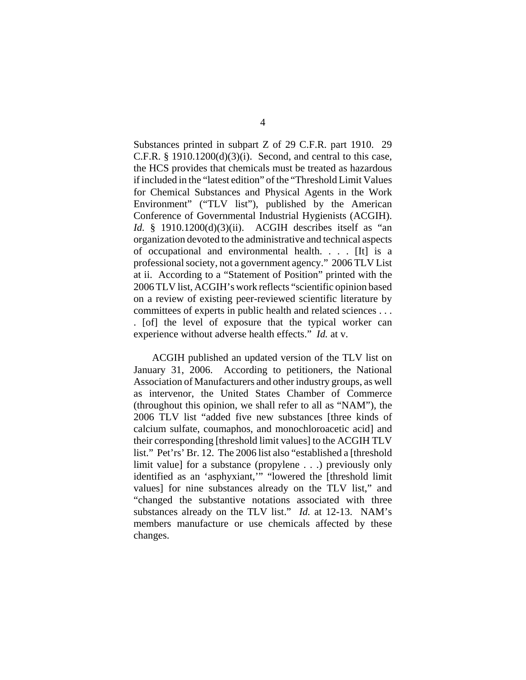Substances printed in subpart Z of 29 C.F.R. part 1910. 29 C.F.R.  $\S$  1910.1200(d)(3)(i). Second, and central to this case, the HCS provides that chemicals must be treated as hazardous if included in the "latest edition" of the "Threshold Limit Values for Chemical Substances and Physical Agents in the Work Environment" ("TLV list"), published by the American Conference of Governmental Industrial Hygienists (ACGIH). *Id.* § 1910.1200(d)(3)(ii). ACGIH describes itself as "an organization devoted to the administrative and technical aspects of occupational and environmental health. . . . [It] is a professional society, not a government agency." 2006 TLV List at ii. According to a "Statement of Position" printed with the 2006 TLV list, ACGIH's work reflects "scientific opinion based on a review of existing peer-reviewed scientific literature by committees of experts in public health and related sciences . . . . [of] the level of exposure that the typical worker can experience without adverse health effects." *Id.* at v.

ACGIH published an updated version of the TLV list on January 31, 2006. According to petitioners, the National Association of Manufacturers and other industry groups, as well as intervenor, the United States Chamber of Commerce (throughout this opinion, we shall refer to all as "NAM"), the 2006 TLV list "added five new substances [three kinds of calcium sulfate, coumaphos, and monochloroacetic acid] and their corresponding [threshold limit values] to the ACGIH TLV list." Pet'rs' Br. 12. The 2006 list also "established a [threshold limit value] for a substance (propylene . . .) previously only identified as an 'asphyxiant,'" "lowered the [threshold limit values] for nine substances already on the TLV list," and "changed the substantive notations associated with three substances already on the TLV list." *Id.* at 12-13. NAM's members manufacture or use chemicals affected by these changes.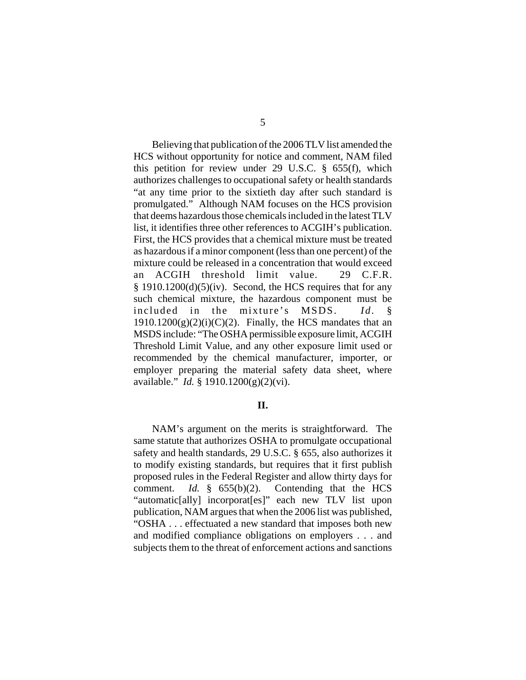Believing that publication of the 2006 TLV list amended the HCS without opportunity for notice and comment, NAM filed this petition for review under 29 U.S.C.  $\S$  655(f), which authorizes challenges to occupational safety or health standards "at any time prior to the sixtieth day after such standard is promulgated." Although NAM focuses on the HCS provision that deems hazardous those chemicals included in the latest TLV list, it identifies three other references to ACGIH's publication. First, the HCS provides that a chemical mixture must be treated as hazardous if a minor component (less than one percent) of the mixture could be released in a concentration that would exceed an ACGIH threshold limit value. 29 C.F.R.  $§$  1910.1200(d)(5)(iv). Second, the HCS requires that for any such chemical mixture, the hazardous component must be included in the mixture's MSDS. *Id.* §  $1910.1200(g)(2)(i)(C)(2)$ . Finally, the HCS mandates that an MSDS include: "The OSHA permissible exposure limit, ACGIH Threshold Limit Value, and any other exposure limit used or recommended by the chemical manufacturer, importer, or employer preparing the material safety data sheet, where available." *Id.* § 1910.1200(g)(2)(vi).

## **II.**

NAM's argument on the merits is straightforward. The same statute that authorizes OSHA to promulgate occupational safety and health standards, 29 U.S.C. § 655, also authorizes it to modify existing standards, but requires that it first publish proposed rules in the Federal Register and allow thirty days for comment. *Id.* § 655(b)(2). Contending that the HCS "automatic[ally] incorporat[es]" each new TLV list upon publication, NAM argues that when the 2006 list was published, "OSHA . . . effectuated a new standard that imposes both new and modified compliance obligations on employers . . . and subjects them to the threat of enforcement actions and sanctions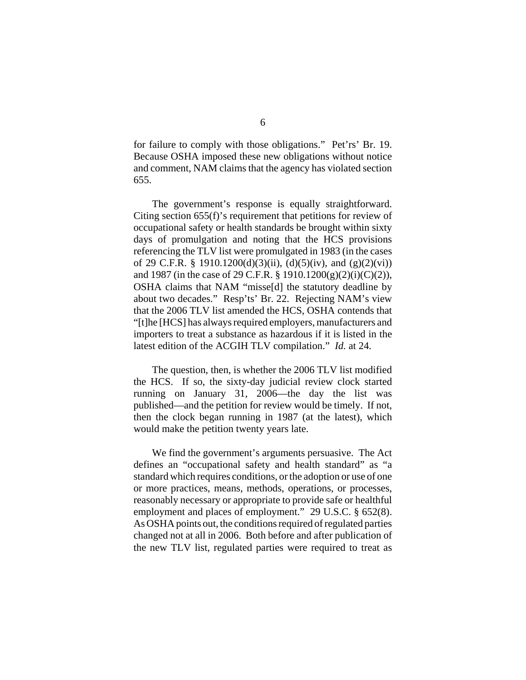for failure to comply with those obligations." Pet'rs' Br. 19. Because OSHA imposed these new obligations without notice and comment, NAM claims that the agency has violated section 655.

The government's response is equally straightforward. Citing section 655(f)'s requirement that petitions for review of occupational safety or health standards be brought within sixty days of promulgation and noting that the HCS provisions referencing the TLV list were promulgated in 1983 (in the cases of 29 C.F.R. § 1910.1200(d)(3)(ii), (d)(5)(iv), and (g)(2)(vi)) and 1987 (in the case of 29 C.F.R. § 1910.1200(g)(2)(i)(C)(2)), OSHA claims that NAM "misse[d] the statutory deadline by about two decades." Resp'ts' Br. 22. Rejecting NAM's view that the 2006 TLV list amended the HCS, OSHA contends that "[t]he [HCS] has always required employers, manufacturers and importers to treat a substance as hazardous if it is listed in the latest edition of the ACGIH TLV compilation." *Id.* at 24.

The question, then, is whether the 2006 TLV list modified the HCS. If so, the sixty-day judicial review clock started running on January 31, 2006—the day the list was published—and the petition for review would be timely. If not, then the clock began running in 1987 (at the latest), which would make the petition twenty years late.

We find the government's arguments persuasive. The Act defines an "occupational safety and health standard" as "a standard which requires conditions, or the adoption or use of one or more practices, means, methods, operations, or processes, reasonably necessary or appropriate to provide safe or healthful employment and places of employment." 29 U.S.C. § 652(8). As OSHA points out, the conditions required of regulated parties changed not at all in 2006. Both before and after publication of the new TLV list, regulated parties were required to treat as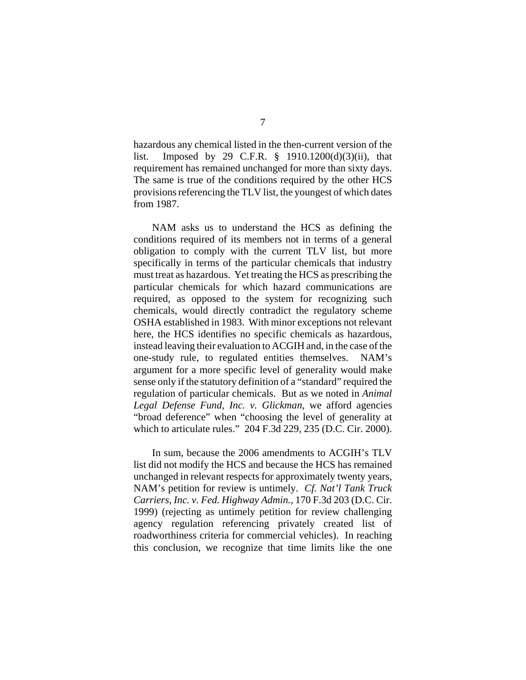hazardous any chemical listed in the then-current version of the list. Imposed by 29 C.F.R. § 1910.1200(d)(3)(ii), that requirement has remained unchanged for more than sixty days. The same is true of the conditions required by the other HCS provisions referencing the TLV list, the youngest of which dates from 1987.

NAM asks us to understand the HCS as defining the conditions required of its members not in terms of a general obligation to comply with the current TLV list, but more specifically in terms of the particular chemicals that industry must treat as hazardous. Yet treating the HCS as prescribing the particular chemicals for which hazard communications are required, as opposed to the system for recognizing such chemicals, would directly contradict the regulatory scheme OSHA established in 1983. With minor exceptions not relevant here, the HCS identifies no specific chemicals as hazardous, instead leaving their evaluation to ACGIH and, in the case of the one-study rule, to regulated entities themselves. NAM's argument for a more specific level of generality would make sense only if the statutory definition of a "standard" required the regulation of particular chemicals. But as we noted in *Animal Legal Defense Fund, Inc. v. Glickman*, we afford agencies "broad deference" when "choosing the level of generality at which to articulate rules." 204 F.3d 229, 235 (D.C. Cir. 2000).

In sum, because the 2006 amendments to ACGIH's TLV list did not modify the HCS and because the HCS has remained unchanged in relevant respects for approximately twenty years, NAM's petition for review is untimely. *Cf. Nat'l Tank Truck Carriers, Inc. v. Fed. Highway Admin.*, 170 F.3d 203 (D.C. Cir. 1999) (rejecting as untimely petition for review challenging agency regulation referencing privately created list of roadworthiness criteria for commercial vehicles). In reaching this conclusion, we recognize that time limits like the one